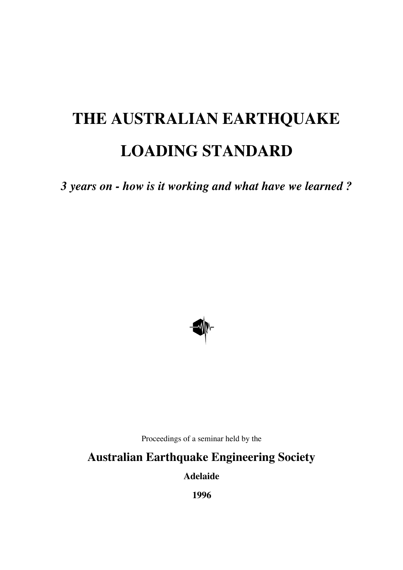# **THE AUSTRALIAN EARTHQUAKE LOADING STANDARD**

*3 years on - how is it working and what have we learned ?*



Proceedings of a seminar held by the

## **Australian Earthquake Engineering Society**

**Adelaide**

**1996**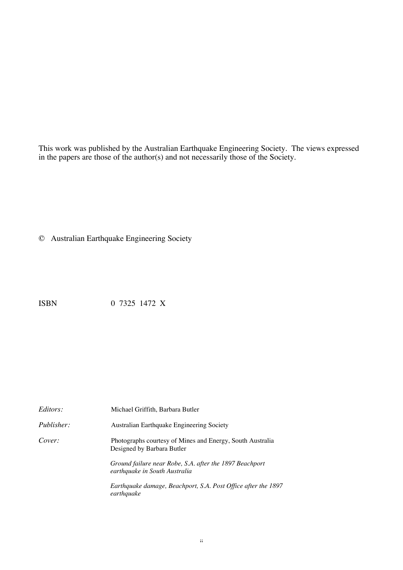This work was published by the Australian Earthquake Engineering Society. The views expressed in the papers are those of the author(s) and not necessarily those of the Society.

© Australian Earthquake Engineering Society

ISBN 0 7325 1472 X

| <i>Editors:</i>   | Michael Griffith, Barbara Butler                                                         |
|-------------------|------------------------------------------------------------------------------------------|
| <i>Publisher:</i> | Australian Earthquake Engineering Society                                                |
| Cover:            | Photographs courtesy of Mines and Energy, South Australia<br>Designed by Barbara Butler  |
|                   | Ground failure near Robe, S.A. after the 1897 Beachport<br>earthquake in South Australia |
|                   | Earthquake damage, Beachport, S.A. Post Office after the 1897<br>earthquake              |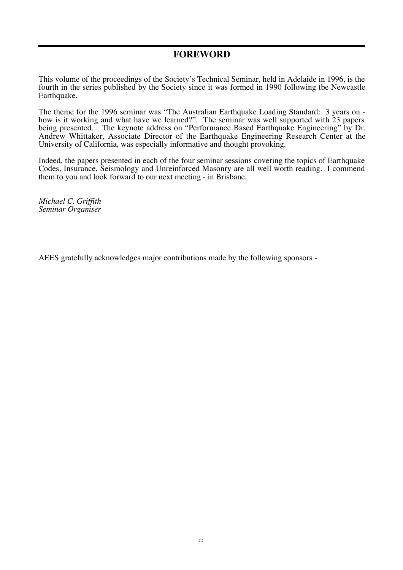#### **FOREWORD**

This volume of the proceedings of the Society's Technical Seminar, held in Adelaide in 1996, is the fourth in the series published by the Society since it was formed in 1990 following tbe Newcastle Earthquake.

The theme for the 1996 seminar was "The Australian Earthquake Loading Standard: 3 years on - how is it working and what have we learned?". The seminar was well supported with 23 papers being presented. The keynote address on "Performance Based Earthquake Engineering" by Dr. Andrew Whittaker, Associate Director of the Earthquake Engineering Research Center at the University of California, was especially informative and thought provoking.

Indeed, the papers presented in each of the four seminar sessions covering the topics of Earthquake Codes, Insurance, Seismology and Unreinforced Masonry are all well worth reading. I commend them to you and look forward to our next meeting - in Brisbane.

*Michael C. Griffith Seminar Organiser*

AEES gratefully acknowledges major contributions made by the following sponsors -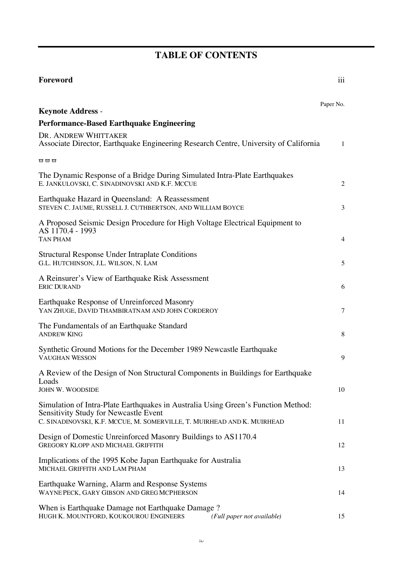# **TABLE OF CONTENTS**

| Foreword                                                                                                                                                                                              | iii            |
|-------------------------------------------------------------------------------------------------------------------------------------------------------------------------------------------------------|----------------|
|                                                                                                                                                                                                       | Paper No.      |
| <b>Keynote Address -</b><br><b>Performance-Based Earthquake Engineering</b>                                                                                                                           |                |
| DR. ANDREW WHITTAKER                                                                                                                                                                                  |                |
| Associate Director, Earthquake Engineering Research Centre, University of California                                                                                                                  | 1              |
| $\varpi\,\varpi\,\varpi$                                                                                                                                                                              |                |
| The Dynamic Response of a Bridge During Simulated Intra-Plate Earthquakes<br>E. JANKULOVSKI, C. SINADINOVSKI AND K.F. MCCUE                                                                           | $\overline{2}$ |
| Earthquake Hazard in Queensland: A Reassessment<br>STEVEN C. JAUME, RUSSELL J. CUTHBERTSON, AND WILLIAM BOYCE                                                                                         | 3              |
| A Proposed Seismic Design Procedure for High Voltage Electrical Equipment to<br>AS 1170.4 - 1993                                                                                                      |                |
| <b>TAN PHAM</b>                                                                                                                                                                                       | $\overline{4}$ |
| <b>Structural Response Under Intraplate Conditions</b><br>G.L. HUTCHINSON, J.L. WILSON, N. LAM                                                                                                        | 5              |
| A Reinsurer's View of Earthquake Risk Assessment<br><b>ERIC DURAND</b>                                                                                                                                | 6              |
| Earthquake Response of Unreinforced Masonry<br>YAN ZHUGE, DAVID THAMBIRATNAM AND JOHN CORDEROY                                                                                                        | 7              |
| The Fundamentals of an Earthquake Standard<br><b>ANDREW KING</b>                                                                                                                                      | 8              |
| Synthetic Ground Motions for the December 1989 Newcastle Earthquake<br><b>VAUGHAN WESSON</b>                                                                                                          | 9              |
| A Review of the Design of Non Structural Components in Buildings for Earthquake<br>Loads                                                                                                              |                |
| JOHN W. WOODSIDE                                                                                                                                                                                      | 10             |
| Simulation of Intra-Plate Earthquakes in Australia Using Green's Function Method:<br>Sensitivity Study for Newcastle Event<br>C. SINADINOVSKI, K.F. MCCUE, M. SOMERVILLE, T. MUIRHEAD AND K. MUIRHEAD | 11             |
| Design of Domestic Unreinforced Masonry Buildings to AS1170.4<br>GREGORY KLOPP AND MICHAEL GRIFFITH                                                                                                   | 12             |
| Implications of the 1995 Kobe Japan Earthquake for Australia<br>MICHAEL GRIFFITH AND LAM PHAM                                                                                                         | 13             |
| Earthquake Warning, Alarm and Response Systems<br>WAYNE PECK, GARY GIBSON AND GREG MCPHERSON                                                                                                          | 14             |
| When is Earthquake Damage not Earthquake Damage?<br>HUGH K. MOUNTFORD, KOUKOUROU ENGINEERS<br>(Full paper not available)                                                                              | 15             |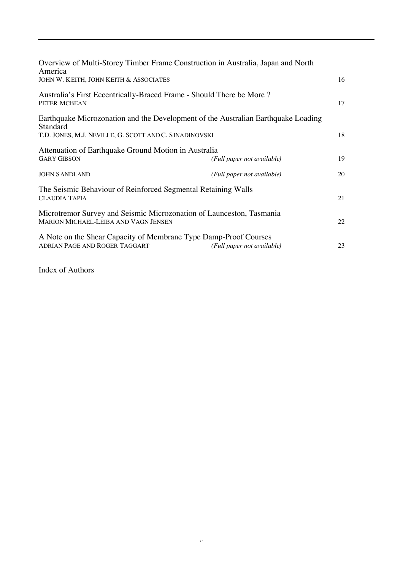| Overview of Multi-Storey Timber Frame Construction in Australia, Japan and North<br>America                         |                            |    |  |  |
|---------------------------------------------------------------------------------------------------------------------|----------------------------|----|--|--|
| JOHN W. KEITH, JOHN KEITH & ASSOCIATES                                                                              |                            | 16 |  |  |
| Australia's First Eccentrically-Braced Frame - Should There be More?<br>PETER MCBEAN                                |                            | 17 |  |  |
| Earthquake Microzonation and the Development of the Australian Earthquake Loading<br>Standard                       |                            |    |  |  |
| T.D. JONES, M.J. NEVILLE, G. SCOTT AND C. SINADINOVSKI                                                              |                            | 18 |  |  |
| Attenuation of Earthquake Ground Motion in Australia                                                                |                            |    |  |  |
| <b>GARY GIBSON</b>                                                                                                  | (Full paper not available) | 19 |  |  |
| <b>JOHN SANDLAND</b>                                                                                                | (Full paper not available) | 20 |  |  |
| The Seismic Behaviour of Reinforced Segmental Retaining Walls<br><b>CLAUDIA TAPIA</b>                               |                            |    |  |  |
| Microtremor Survey and Seismic Microzonation of Launceston, Tasmania<br><b>MARION MICHAEL-LEIBA AND VAGN JENSEN</b> |                            |    |  |  |
| A Note on the Shear Capacity of Membrane Type Damp-Proof Courses<br>ADRIAN PAGE AND ROGER TAGGART                   | (Full paper not available) | 23 |  |  |

Index of Authors